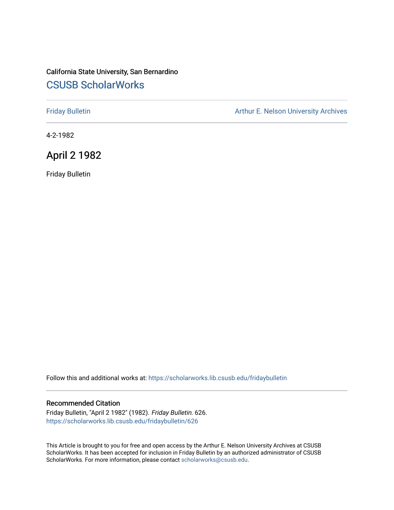## California State University, San Bernardino [CSUSB ScholarWorks](https://scholarworks.lib.csusb.edu/)

[Friday Bulletin](https://scholarworks.lib.csusb.edu/fridaybulletin) **Arthur E. Nelson University Archives** Arthur E. Nelson University Archives

4-2-1982

# April 2 1982

Friday Bulletin

Follow this and additional works at: [https://scholarworks.lib.csusb.edu/fridaybulletin](https://scholarworks.lib.csusb.edu/fridaybulletin?utm_source=scholarworks.lib.csusb.edu%2Ffridaybulletin%2F626&utm_medium=PDF&utm_campaign=PDFCoverPages)

### Recommended Citation

Friday Bulletin, "April 2 1982" (1982). Friday Bulletin. 626. [https://scholarworks.lib.csusb.edu/fridaybulletin/626](https://scholarworks.lib.csusb.edu/fridaybulletin/626?utm_source=scholarworks.lib.csusb.edu%2Ffridaybulletin%2F626&utm_medium=PDF&utm_campaign=PDFCoverPages)

This Article is brought to you for free and open access by the Arthur E. Nelson University Archives at CSUSB ScholarWorks. It has been accepted for inclusion in Friday Bulletin by an authorized administrator of CSUSB ScholarWorks. For more information, please contact [scholarworks@csusb.edu.](mailto:scholarworks@csusb.edu)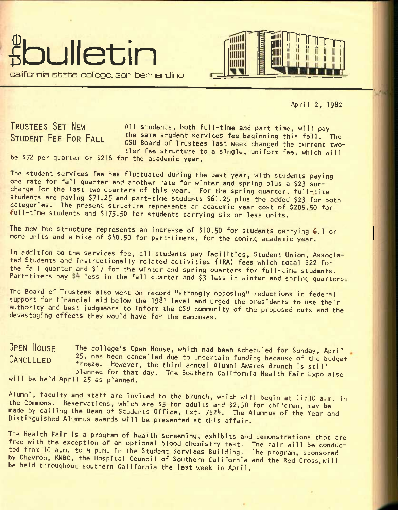



April 2, 1982

**TRUSTEES SET NEW STUDENT FEE FOR FALL** 

All students, both full-time and part-time, will pay the same student services fee beginning this fall. The CSU Board of Trustees last week changed the current twotier fee structure to a single, uniform fee, which will

be \$72 per quarter or \$216 for the academic year.

The student services fee has fluctuated during the past year, with students paying one rate for fall quarter and another rate for winter and spring plus a \$23 surcharge for the last two quarters of this year. For the spring quarter, full-time students are paying \$71-25 and part-time students \$61.25 plus the added \$23 for both categories. The present structure represents an academic year cost of \$205.50 for -full-time students and \$175-50 for students carrying six or less units.

The new fee structure represents an increase of \$10.50 for students carrying **6**.1 or more units and a hike of \$40.50 for part-timers, for the coming academic year.

In addition to the services fee, all students pay facilities, Student Union, Associated Students and instructionally related activities (iRA) fees which total \$22 for the fall quarter and \$17 for the winter and spring quarters for full-time students. Part-timers pay  $$4$  less in the fall quarter and  $$3$  less in winter and spring quarters.

The Board of Trustees also went on record "strongly opposing" reductions in federal support for financial aid below the I98I level and urged the presidents to use their authority and best judgments to inform the CSU community of the proposed cuts and the devastaging effects they would have for the campuses.

**OPEN HOUSE CANCELLED**  The college's Open House, which had been scheduled for Sunday, April 25, has been cancelled due to uncertain funding because of the budget freeze. However, the third annual Alumni Awards Brunch is still planned for that day. The Southern California Health Fair Expo also will be held April 25 as planned.

Alumni, faculty and staff are invited to the brunch, which will begin at ll:30 a.m. in the Commons. Reservations, which are \$5 for adults and \$2.50 for children, may be\* made by calling the Dean of Students Office, Ext. 7524. The Alumnus of the Year and Distinguished Alumnus awards will be presented at this affair.

The Health Fair is a program of health screening, exhibits and demonstrations that are free with the exception of an optional blood chemistry test. The fair will be conducted from 10 a.m. to 4 p.m. in the Student Services Building. The program, sponsored by Chevron, KNBC, the Hospital Council of Southern California and the Red Cross,will be held throughout southern California the last week In April.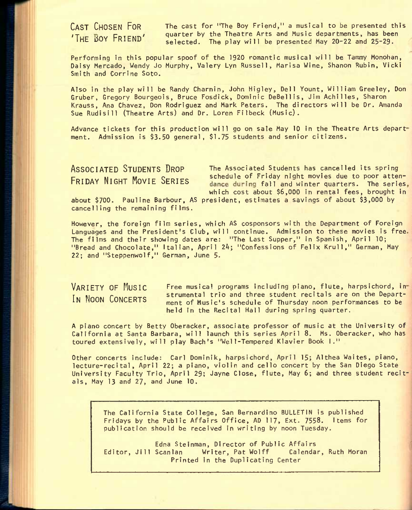**CAST CHOSEN FOR** The cast for "The Boy Friend," a musical to be presented this THE BOY  $FRIEND'$  quarter by the Theatre Arts and Music departments, has been selected. The play will be presented May 20-22 and 25-29.

Performing in this popular spoof of the 1920 romantic musical will be Tammy Monohan, Daisy Mercado, Wendy Jo Murphy, Valery Lyn Russell, Marisa Wine, Shanon Rubin, Vicki Smith and Corrine Soto.

Also in the play will be Randy Charnin, John Higley, Dell Yount, William Greeley, Don Gruber, Gregory Bourgeois, Bruce Fosdick, Dominic DeBellis, Jim Achilles, Sharon Krauss, Ana Chavez, Don Rodriguez and Mark Peters. The directors will be Dr. Amanda Sue Rudisill (Theatre Arts) and Dr. Loren Filbeck (Music).

Advance tickets for this production will go on sale May 10 in the Theatre Arts depart ment. Admission is \$3.50 general, \$1.75 students and senior citizens.

**ASSOCIATED STUDENTS DROP** The Associated students has cancelled its spring FRIDAY NIGHT MOVIE SERIES schedule of Friday night movies due to poor attendance during fall and winter quarters. The series, which cost about \$6,000 in rental fees, brought in

about \$700. Pauline Barbour, AS president, estimates a savings of about \$3,000 by cancelling the remaining films.

However, the foreign film series, which AS cosponsors with the Department of Foreign Languages and the President's Club, will continue. Admission to these movies is free The films and their showing dates are: "The Last Supper," in Spanish, April 10; "Bread and Chocolate," Italian, April *Zk;* "Confessions of Felix Krull," German, May 22; and "Steppenwolf," German, June 5.

**VARIETY OF MUSIC**  IN **NOON** CONCERTS Free musical programs including piano, flute, harpsichord, in strumental trio and three student recitals are on the Department of Music's schedule of Thursday noon performances to be held in the Recital Hall during spring quarter.

A piano concert by Betty Oberacker, associate professor of music at the University of California at Santa Barbara, will launch this series April 8. Ms. Oberacker, who has toured extensively, will play Bach's "Wei 1-Tempered Klavier Book I."

Other concerts include: Carl Dominik, harpsichord, April 15; Althea Waites, piano, lecture-recital, April 22; a piano, violin and cello concert by the San Diego State University Faculty Trio, April 29; Jayne Close, flute, May 6; and three student recitals, May 13 and 27, and June 10.

The California State College, San Bernardino BULLETIN is published Fridays by the Public Affairs Office, AD 117, Ext. 7558. Items for publication should be received in writing by noon Tuesday.

Edna Steinman, Director of Public Affairs Editor, Jill Scanlan Writer, Pat Wolff Calendar, Ruth Moran Printed in the Duplicating Center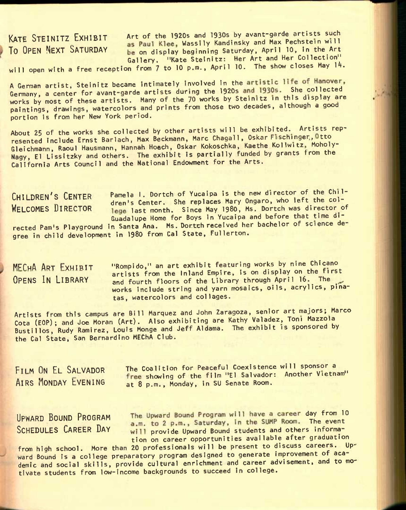**KATE STEINITZ EXHIBIT** Art of the 1920s and 1930s by avant-garde artists such INTE STEINITZ LAUIDIT as Paul Klee, Wassily Kandinsky and Max Pechstein will<br>TO OPEN NEXT SATURDAY be on display beginning Saturday, April 10, in the Art be on display beginning Saturday, April 10, in the Art Gallery. "Kate Steinitz: Her Art and Her Collection"

will open with a free reception from  $7$  to 10 p.m., April 10. The show closes May 14.

A German artist, Steinitz became intimately involved in the artistic life of Hanover, Germany, a center for avant-garde artists during the 1920s and 1930s. She collected works by most of these artists. Many of the 70 works by Steinitz in this display are paintings, drawings, watercolors and prints from those two decades, although a good portion is from her New York period.

About 25 of the works she collected by other artists will be exhibited. Artists represented include Ernst Barlach, Max Beckmann, Marc Chagall, Oskar Fuschinger, Otto Gleichmann, Raoul Hausmann, Hannah Hoech, Oskar Kokoschka, Kaethe Kollwitz, Moholy-Nagy, El Lissitzky and others. The exhibit is partially funded by grants from the California Arts Council and the National Endowment for the Arts.

CHILDREN'S CENTER Pamela I. Dortch of Yucaipa is the new director of the Chil-VILLUNCH & VENTER dren's Center. She replaces Mary Ongaro, who left the col-<br>WELCOMES DIRECTOR logs last month. Since May 1980, Ms. Dortch was director of lege last month. Since May 1980, Ms. Dortch was director of Guadalupe Home for Boys In Yucaipa and before that time directed Pam's Playground in Santa Ana. Ms. Dortch received her bachelor of science degree in child development in 1980 from Cal State, Fullerton.

**MFPHA ART FX**HIRIT "Rompldo," an art exhibit featuring works by nine Chicano artists from the Inland Empire, is on display on the first **OPENS IN LIBRARY** and fourth floors of the Library through April 16.^ The works include string and yarn mosaics, oils, acrylics, pinatas, watercolors and collages.

Artists from this campus are Bill Marquez and John Zaragoza, senior art majors; Marco Cota (EOP); and Joe Moran (Art). Also exhibiting are Kathy Valadez, Toni Mazzola Bustillos, Rudy Ramirez, Louis Monge and Jeff Aldama. The exhibit is sponsored by the Cal State, San Bernardino MEChA Club.

FILM ON EL SALVADOR The Coalition for Peaceful Coexistence will sponsor a The Showing of the film "El Salvador: Another Vietnam"<br>AIRS MONDAY EVENING at 8 p.m. Monday, in SU Senate Room. at 8 p.m., Monday, in SU Senate Room.

UPWARD BOUND PROGRAM The Upward Bound Program will have a career day from 10<br>a.m. to 2 p.m., Saturday, in the SUMP Room. The event SCHEDULES CAREER DAY will provide Upward Bound students and others information on career opportunities available after graduation

from high school. More than 20 professionals will be present to discuss careers. Upward Bound is a college preparatory program designed to generate improvement of academic and social skills, provide cultural enrichment and career advisement, and to motivate students from low-income backgrounds to succeed in college.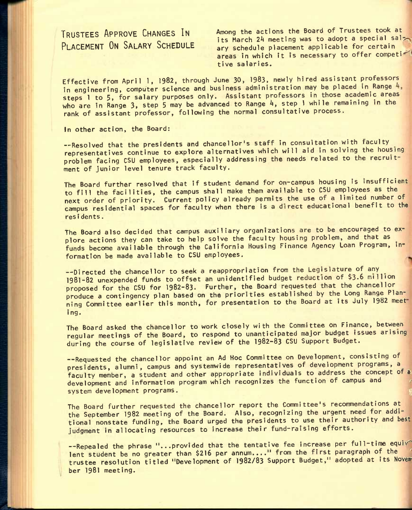**TRUSTEES APPROVE CHANGES IN PLACEMENT ON SALARY SCHEDULE**  Among the actions the Board of Trustees took at its March 24 meeting was to adopt a special salary schedule placement applicable for certain ary schedule placement applicable for certain<br>areas in which it is necessary to offer competi tive salaries.

Effective from April 1, 1982, through June 30, 1983, newly hired assistant professors in engineering, computer science and business administration may be placed in Range steps 1 to 5, for salary purposes only. Assistant professors in those academic areas who are in Range 3, step 5 may be advanced to Range 4, step 1 while remaining in the rank of assistant professor, following the normal consultative process.

In other action, the Board;

—Resolved that the presidents and chancellor's staff in consultation with faculty representatives continue to explore alternatives which will aid in solving the housing problem facing CSU employees, especially addressing the needs related to the recruitment of junior level tenure track faculty.

The Board further resolved that if student demand for on-campus housing is insufficient to fill the facilities, the campus shall make them available to CSU employees as the next order of priority. Current policy already permits the use of a limited number of campus residential spaces for faculty when there is a direct educational benefit to the residents.

The Board also decided that campus auxiliary organizations are to be encouraged to explore actions they can take to help solve the faculty housing problem, and that as funds become available through the California Housing Finance Agency Loan Program, information be made available to CSU employees,

—Directed the chancellor to seek a reappropriation from the Legislature of any **1981-82** unexpended funds to offset an unidentified budget reduction of **\$3.6** million proposed for the CSU for 1982-83. Further, the Board requested that the chancellor produce a contingency plan based on the priorities established by the Long Range Planning Committee earlier this month, for presentation to the Board at its July 1982 meet ing.

The Board asked the chancellor to work closely with the Committee on Finance, between regular meetings of the Board, to respond to unanticipated major budget issues arising during the course of legislative review of the 1982-83 CSU Support Budget.

—Requested the chancellor appoint an Ad Hoc Committee on Development, consisting of presidents, alumni, campus and systemwide representatives of development programs, a faculty member, a student and other appropriate individuals to address the concept of a development and information program which recognizes the function of campus and presidents, a student and other appropriate individuals to address the concept of a development and information program which recognizes the function of campus and system development programs.

The Board further requested the chancellor report the Committee's recommendations at the September 1982 meeting of the Board. Also, recognizing the urgent need for additional nonstate funding, the Board urged the presidents to use their authority and best judgment in allocating resources to increase their fund-raising efforts.

--Repealed the phrase "...provided that the tentative fee increase per full-time equiv lent student be no greater than \$216 per annum...." from the first paragraph of the trustee resolution titled "Development of 1982/83 Support Budget," adopted at its November 1981 meeting.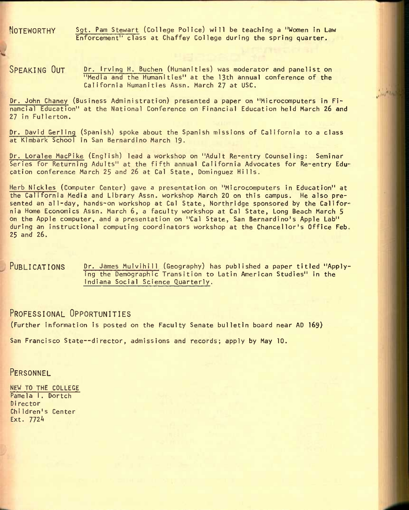**NOTEWORTHY** Sgt. Pam Stewart (college Police) will be teaching a "Women in Law Enforcement" class at Chaffey College during the spring quarter.

**Contractor** 

SPEAKING OUT Dr. Irving H. Buchen (Humanities) was moderator and panelist on "Media and the Humanities" at the 13th annual conference of the California Humanities Assn. March 27 at USC.

Dr. John Chaney (Business Administration) presented a paper on "Microcomputers in Financial Education" at the National Conference on Financial Education held March 26 and 27 in Fullerton.

Dr. David Gerling (Spanish) spoke about the Spanish missions of California to a class at Kimbark School in San Bernardino March 19.

Dr. Loralee MacPike (English) lead a workshop on "Adult Re-entry Counseling: Seminar Series for Returning Adults" at the fifth annual California Advocates for Re-entry Education conference March 25 and 26 at Cal State, Domlnguez Hills.

Herb Nickles (Computer Center) gave a presentation on "Microcomputers in Education" at the California Media and Library Assn. workshop March 20 on this campus. He also presented an all-day, hands-on workshop at Cal State, Northridge sponsored by the California Home Economics Assn. March 6, a faculty workshop at Cal State, Long Beach March 5 on the Apple computer, and a presentation on "Cal State, San Bernardino's Apple Lab" during an instructional computing coordinators workshop at the Chancellor's Office Feb. 25 and 26.

PUBLICATIONS Dr. James Mulvihill (Geography) has published a paper titled "Applying the Demographic Transition to Latin American Studies" In the Indiana Social Science Quarterly.

## **PROFESSIONAL OPPORTUNITIES**

(Further information is posted on the Faculty Senate bulletin board near AD 169)

San Francisco State—director, admissions and records; apply by May 10.

**PERSONNEL** 

NEW TO THE COLLEGE Pamela I. Dortch Di rector Children's Center Ext. 7724